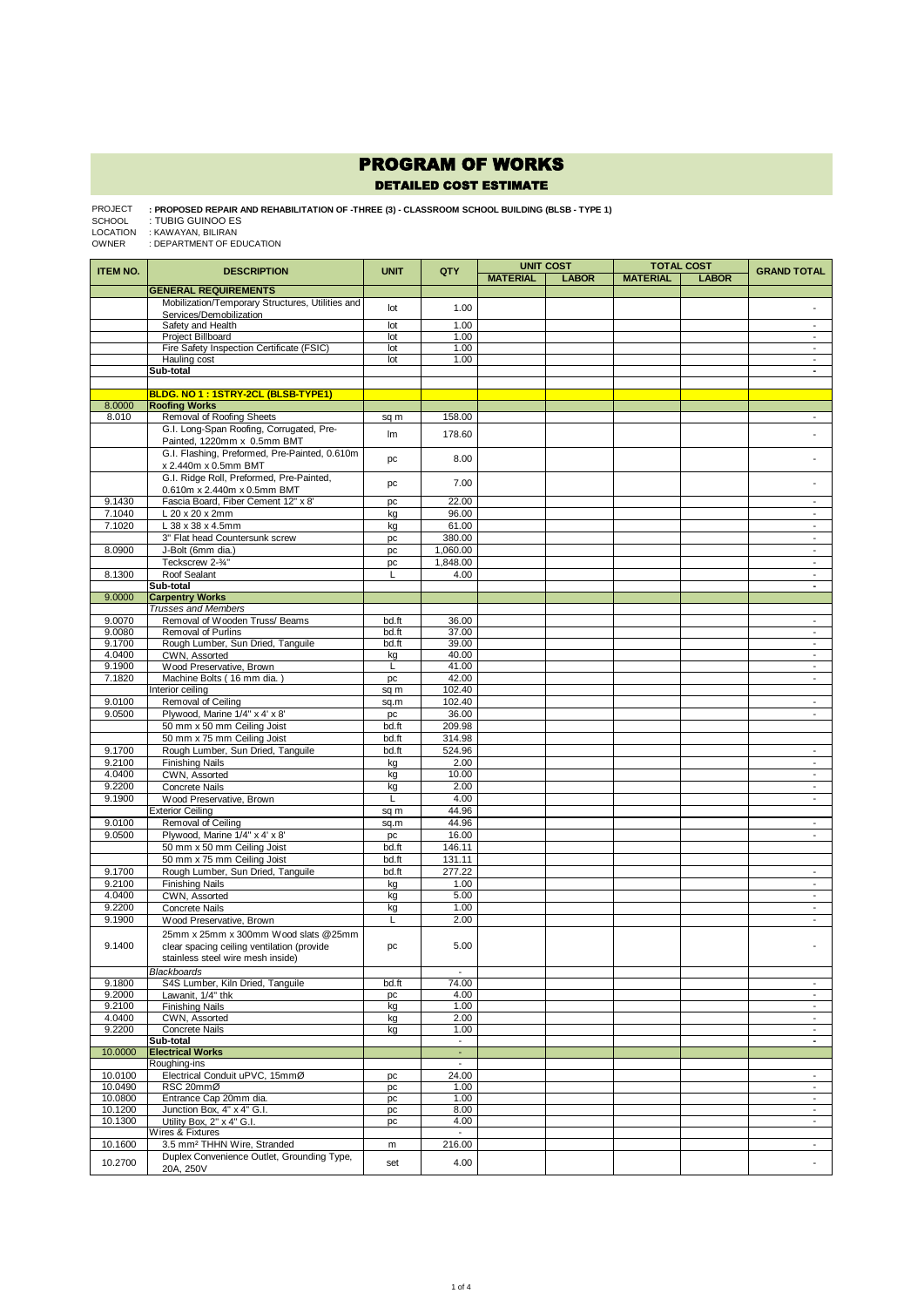## PROGRAM OF WORKS DETAILED COST ESTIMATE

: **PROPOSED REPAIR AND REHABILITATION OF -THREE (3) - CLASSROOM SCHOOL BUILDING (BLSB - TYPE 1)**<br>: TUBIG GUINOO ES<br>: KAWAYAN, BILIRAN<br>: DEPARTMENT OF EDUCATION PROJECT

SCHOOL LOCATION OWNER

| <b>ITEM NO.</b>  | <b>DESCRIPTION</b>                                                    | <b>UNIT</b>  | QTY                               | <b>MATERIAL</b> | <b>UNIT COST</b><br><b>LABOR</b> | <b>MATERIAL</b> | <b>TOTAL COST</b><br><b>LABOR</b> | <b>GRAND TOTAL</b>                                   |
|------------------|-----------------------------------------------------------------------|--------------|-----------------------------------|-----------------|----------------------------------|-----------------|-----------------------------------|------------------------------------------------------|
|                  | <b>GENERAL REQUIREMENTS</b>                                           |              |                                   |                 |                                  |                 |                                   |                                                      |
|                  | Mobilization/Temporary Structures, Utilities and                      |              |                                   |                 |                                  |                 |                                   |                                                      |
|                  | Services/Demobilization                                               | lot          | 1.00                              |                 |                                  |                 |                                   |                                                      |
|                  | Safety and Health                                                     | lot          | 1.00                              |                 |                                  |                 |                                   | $\overline{\phantom{a}}$                             |
|                  | Project Billboard                                                     | lot          | 1.00                              |                 |                                  |                 |                                   | $\overline{\phantom{a}}$                             |
|                  | Fire Safety Inspection Certificate (FSIC)<br>Hauling cost             | lot<br>lot   | 1.00<br>1.00                      |                 |                                  |                 |                                   | $\overline{\phantom{a}}$<br>$\overline{\phantom{a}}$ |
|                  | Sub-total                                                             |              |                                   |                 |                                  |                 |                                   | ٠                                                    |
|                  |                                                                       |              |                                   |                 |                                  |                 |                                   |                                                      |
|                  | BLDG. NO 1: 1STRY-2CL (BLSB-TYPE1)                                    |              |                                   |                 |                                  |                 |                                   |                                                      |
| 8.0000<br>8.010  | <b>Roofing Works</b>                                                  |              | 158.00                            |                 |                                  |                 |                                   |                                                      |
|                  | Removal of Roofing Sheets<br>G.I. Long-Span Roofing, Corrugated, Pre- | sq m         |                                   |                 |                                  |                 |                                   | $\blacksquare$                                       |
|                  | Painted, 1220mm x 0.5mm BMT                                           | Im           | 178.60                            |                 |                                  |                 |                                   |                                                      |
|                  | G.I. Flashing, Preformed, Pre-Painted, 0.610m                         | pc           | 8.00                              |                 |                                  |                 |                                   |                                                      |
|                  | x 2.440m x 0.5mm BMT<br>G.I. Ridge Roll, Preformed, Pre-Painted,      |              |                                   |                 |                                  |                 |                                   |                                                      |
|                  | 0.610m x 2.440m x 0.5mm BMT                                           | pc           | 7.00                              |                 |                                  |                 |                                   | $\overline{\phantom{a}}$                             |
| 9.1430           | Fascia Board, Fiber Cement 12" x 8'                                   | pc           | 22.00                             |                 |                                  |                 |                                   | $\overline{\phantom{a}}$                             |
| 7.1040           | L 20 x 20 x 2mm                                                       | kg           | 96.00                             |                 |                                  |                 |                                   | $\overline{\phantom{a}}$                             |
| 7.1020           | L 38 x 38 x 4.5mm                                                     | kg           | 61.00                             |                 |                                  |                 |                                   | $\blacksquare$                                       |
|                  | 3" Flat head Countersunk screw                                        | pc           | 380.00                            |                 |                                  |                 |                                   | $\overline{\phantom{a}}$                             |
| 8.0900           | J-Bolt (6mm dia.)                                                     | pc           | 1,060.00                          |                 |                                  |                 |                                   | $\overline{\phantom{a}}$                             |
| 8.1300           | Teckscrew 2-3/4"<br>Roof Sealant                                      | pc<br>L      | 1,848.00<br>4.00                  |                 |                                  |                 |                                   | $\overline{\phantom{a}}$<br>$\overline{\phantom{a}}$ |
|                  | Sub-total                                                             |              |                                   |                 |                                  |                 |                                   | $\blacksquare$                                       |
| 9.0000           | <b>Carpentry Works</b>                                                |              |                                   |                 |                                  |                 |                                   |                                                      |
|                  | <b>Trusses and Members</b>                                            |              |                                   |                 |                                  |                 |                                   |                                                      |
| 9.0070           | Removal of Wooden Truss/ Beams                                        | bd.ft        | 36.00                             |                 |                                  |                 |                                   | $\overline{\phantom{0}}$                             |
| 9.0080           | Removal of Purlins                                                    | bd.ft        | 37.00                             |                 |                                  |                 |                                   | $\overline{\phantom{a}}$<br>$\overline{\phantom{a}}$ |
| 9.1700<br>4.0400 | Rough Lumber, Sun Dried, Tanquile<br>CWN, Assorted                    | bd.ft<br>kg  | 39.00<br>40.00                    |                 |                                  |                 |                                   | $\overline{\phantom{a}}$                             |
| 9.1900           | Wood Preservative, Brown                                              | L            | 41.00                             |                 |                                  |                 |                                   | $\overline{\phantom{a}}$                             |
| 7.1820           | Machine Bolts (16 mm dia.)                                            | рc           | 42.00                             |                 |                                  |                 |                                   | $\overline{\phantom{a}}$                             |
|                  | Interior ceiling                                                      | sq m         | 102.40                            |                 |                                  |                 |                                   |                                                      |
| 9.0100           | Removal of Ceiling                                                    | sq.m         | 102.40                            |                 |                                  |                 |                                   | $\overline{\phantom{a}}$<br>$\overline{\phantom{a}}$ |
| 9.0500           | Plywood, Marine 1/4" x 4' x 8'<br>50 mm x 50 mm Ceiling Joist         | pc<br>bd.ft  | 36.00<br>209.98                   |                 |                                  |                 |                                   |                                                      |
|                  | 50 mm x 75 mm Ceiling Joist                                           | bd.ft        | 314.98                            |                 |                                  |                 |                                   |                                                      |
| 9.1700           | Rough Lumber, Sun Dried, Tanguile                                     | bd.ft        | 524.96                            |                 |                                  |                 |                                   | $\overline{\phantom{a}}$                             |
| 9.2100           | <b>Finishing Nails</b>                                                | kg           | 2.00                              |                 |                                  |                 |                                   | $\overline{\phantom{a}}$                             |
| 4.0400           | CWN, Assorted                                                         | kg           | 10.00                             |                 |                                  |                 |                                   | $\overline{\phantom{a}}$                             |
| 9.2200           | <b>Concrete Nails</b>                                                 | kg           | 2.00                              |                 |                                  |                 |                                   | $\overline{\phantom{a}}$                             |
| 9.1900           | Wood Preservative, Brown<br><b>Exterior Ceiling</b>                   | L            | 4.00<br>44.96                     |                 |                                  |                 |                                   | $\overline{\phantom{a}}$                             |
| 9.0100           | Removal of Ceiling                                                    | sq m<br>sq.m | 44.96                             |                 |                                  |                 |                                   | $\overline{\phantom{a}}$                             |
| 9.0500           | Plywood, Marine 1/4" x 4' x 8'                                        | pc           | 16.00                             |                 |                                  |                 |                                   | $\blacksquare$                                       |
|                  | 50 mm x 50 mm Ceiling Joist                                           | bd.ft        | 146.11                            |                 |                                  |                 |                                   |                                                      |
|                  | 50 mm x 75 mm Ceiling Joist                                           | bd.ft        | 131.11                            |                 |                                  |                 |                                   |                                                      |
| 9.1700           | Rough Lumber, Sun Dried, Tanguile                                     | bd.ft        | 277.22                            |                 |                                  |                 |                                   | $\overline{\phantom{a}}$                             |
| 9.2100           | <b>Finishing Nails</b>                                                | kg           | 1.00                              |                 |                                  |                 |                                   | $\overline{\phantom{a}}$                             |
| 4.0400<br>9.2200 | CWN, Assorted<br>Concrete Nails                                       | kg<br>kg     | 5.00<br>1.00                      |                 |                                  |                 |                                   | $\overline{\phantom{a}}$<br>$\overline{\phantom{a}}$ |
| 9.1900           | Wood Preservative, Brown                                              | L            | 2.00                              |                 |                                  |                 |                                   | $\overline{\phantom{a}}$                             |
|                  | 25mm x 25mm x 300mm Wood slats @25mm                                  |              |                                   |                 |                                  |                 |                                   |                                                      |
| 9.1400           | clear spacing ceiling ventilation (provide                            | pc           | 5.00                              |                 |                                  |                 |                                   |                                                      |
|                  | stainless steel wire mesh inside)                                     |              |                                   |                 |                                  |                 |                                   |                                                      |
|                  | <b>Blackboards</b>                                                    |              | $\overline{\phantom{a}}$          |                 |                                  |                 |                                   |                                                      |
| 9.1800           | S4S Lumber, Kiln Dried, Tanguile                                      | bd.ft        | 74.00                             |                 |                                  |                 |                                   | $\overline{\phantom{0}}$                             |
| 9.2000<br>9.2100 | Lawanit, 1/4" thk                                                     | pc           | 4.00<br>1.00                      |                 |                                  |                 |                                   | $\overline{\phantom{a}}$<br>$\overline{\phantom{a}}$ |
| 4.0400           | <b>Finishing Nails</b><br>CWN, Assorted                               | kg<br>kg     | 2.00                              |                 |                                  |                 |                                   | $\overline{\phantom{a}}$                             |
| 9.2200           | <b>Concrete Nails</b>                                                 | kg           | 1.00                              |                 |                                  |                 |                                   | $\overline{\phantom{a}}$                             |
|                  | Sub-total                                                             |              | $\blacksquare$                    |                 |                                  |                 |                                   | $\blacksquare$                                       |
| 10.0000          | <b>Electrical Works</b>                                               |              | $\sim$                            |                 |                                  |                 |                                   |                                                      |
| 10.0100          | Roughing-ins<br>Electrical Conduit uPVC, 15mmØ                        | pc           | $\overline{\phantom{a}}$<br>24.00 |                 |                                  |                 |                                   | $\blacksquare$                                       |
| 10.0490          | RSC 20mmØ                                                             | pc           | 1.00                              |                 |                                  |                 |                                   | $\overline{\phantom{a}}$                             |
| 10.0800          | Entrance Cap 20mm dia.                                                | pc           | 1.00                              |                 |                                  |                 |                                   | $\sim$                                               |
| 10.1200          | Junction Box, 4" x 4" G.I.                                            | pc           | 8.00                              |                 |                                  |                 |                                   | $\overline{\phantom{a}}$                             |
| 10.1300          | Utility Box, 2" x 4" G.I.<br>Wires & Fixtures                         | pc           | 4.00<br>$\overline{\phantom{a}}$  |                 |                                  |                 |                                   | $\overline{\phantom{a}}$                             |
| 10.1600          | 3.5 mm <sup>2</sup> THHN Wire, Stranded                               | m            | 216.00                            |                 |                                  |                 |                                   | $\sim$                                               |
|                  | Duplex Convenience Outlet, Grounding Type,                            |              |                                   |                 |                                  |                 |                                   |                                                      |
| 10.2700          | 20A, 250V                                                             | set          | 4.00                              |                 |                                  |                 |                                   |                                                      |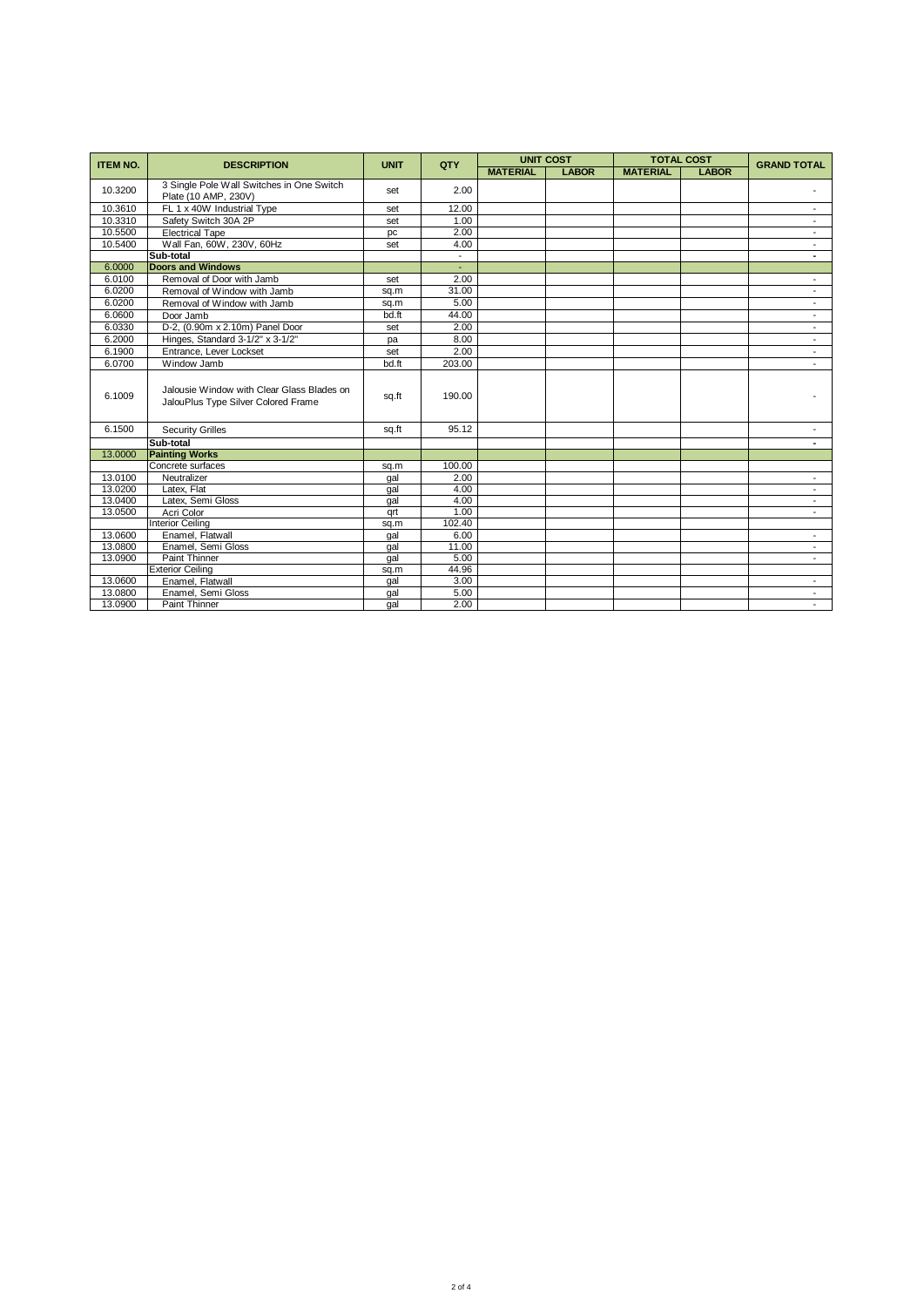| <b>ITEM NO.</b> | <b>DESCRIPTION</b>                                                                | <b>UNIT</b> | QTY            | <b>UNIT COST</b> |              | <b>TOTAL COST</b> |              | <b>GRAND TOTAL</b>       |
|-----------------|-----------------------------------------------------------------------------------|-------------|----------------|------------------|--------------|-------------------|--------------|--------------------------|
|                 |                                                                                   |             |                | <b>MATERIAL</b>  | <b>LABOR</b> | <b>MATERIAL</b>   | <b>LABOR</b> |                          |
| 10.3200         | 3 Single Pole Wall Switches in One Switch<br>Plate (10 AMP, 230V)                 | set         | 2.00           |                  |              |                   |              |                          |
| 10.3610         | FL 1 x 40W Industrial Type                                                        | set         | 12.00          |                  |              |                   |              |                          |
| 10.3310         | Safety Switch 30A 2P                                                              | set         | 1.00           |                  |              |                   |              |                          |
| 10.5500         | <b>Electrical Tape</b>                                                            | pc          | 2.00           |                  |              |                   |              | $\overline{\phantom{a}}$ |
| 10.5400         | Wall Fan, 60W, 230V, 60Hz                                                         | set         | 4.00           |                  |              |                   |              | $\overline{\phantom{a}}$ |
|                 | Sub-total                                                                         |             | $\blacksquare$ |                  |              |                   |              |                          |
| 6.0000          | <b>Doors and Windows</b>                                                          |             |                |                  |              |                   |              |                          |
| 6.0100          | Removal of Door with Jamb                                                         | set         | 2.00           |                  |              |                   |              | $\overline{\phantom{a}}$ |
| 6.0200          | Removal of Window with Jamb                                                       | sq.m        | 31.00          |                  |              |                   |              |                          |
| 6.0200          | Removal of Window with Jamb                                                       | sq.m        | 5.00           |                  |              |                   |              |                          |
| 6.0600          | Door Jamb                                                                         | bd.ft       | 44.00          |                  |              |                   |              | $\overline{\phantom{0}}$ |
| 6.0330          | D-2, (0.90m x 2.10m) Panel Door                                                   | set         | 2.00           |                  |              |                   |              | $\overline{\phantom{0}}$ |
| 6.2000          | Hinges, Standard 3-1/2" x 3-1/2"                                                  | pa          | 8.00           |                  |              |                   |              | $\overline{\phantom{a}}$ |
| 6.1900          | Entrance, Lever Lockset                                                           | set         | 2.00           |                  |              |                   |              |                          |
| 6.0700          | Window Jamb                                                                       | bd.ft       | 203.00         |                  |              |                   |              |                          |
| 6.1009          | Jalousie Window with Clear Glass Blades on<br>JalouPlus Type Silver Colored Frame | sq.ft       | 190.00         |                  |              |                   |              |                          |
| 6.1500          | <b>Security Grilles</b>                                                           | sq.ft       | 95.12          |                  |              |                   |              |                          |
|                 | Sub-total                                                                         |             |                |                  |              |                   |              | $\blacksquare$           |
| 13,0000         | <b>Painting Works</b>                                                             |             |                |                  |              |                   |              |                          |
|                 | Concrete surfaces                                                                 | sq.m        | 100.00         |                  |              |                   |              |                          |
| 13.0100         | Neutralizer                                                                       | gal         | 2.00           |                  |              |                   |              | $\overline{\phantom{a}}$ |
| 13.0200         | Latex, Flat                                                                       | gal         | 4.00           |                  |              |                   |              | $\overline{\phantom{a}}$ |
| 13.0400         | Latex, Semi Gloss                                                                 | gal         | 4.00           |                  |              |                   |              | $\overline{\phantom{a}}$ |
| 13.0500         | Acri Color                                                                        | grt         | 1.00           |                  |              |                   |              |                          |
|                 | <b>Interior Ceiling</b>                                                           | sq.m        | 102.40         |                  |              |                   |              |                          |
| 13.0600         | Enamel, Flatwall                                                                  | gal         | 6.00           |                  |              |                   |              | $\overline{\phantom{a}}$ |
| 13,0800         | Enamel, Semi Gloss                                                                | gal         | 11.00          |                  |              |                   |              | $\overline{\phantom{a}}$ |
| 13.0900         | Paint Thinner                                                                     | qal         | 5.00           |                  |              |                   |              | $\overline{\phantom{a}}$ |
|                 | <b>Exterior Ceiling</b>                                                           | sq.m        | 44.96          |                  |              |                   |              |                          |
| 13.0600         | Enamel, Flatwall                                                                  | gal         | 3.00           |                  |              |                   |              | $\overline{\phantom{a}}$ |
| 13.0800         | Enamel, Semi Gloss                                                                | gal         | 5.00           |                  |              |                   |              | $\overline{\phantom{a}}$ |
| 13.0900         | Paint Thinner                                                                     | qal         | 2.00           |                  |              |                   |              |                          |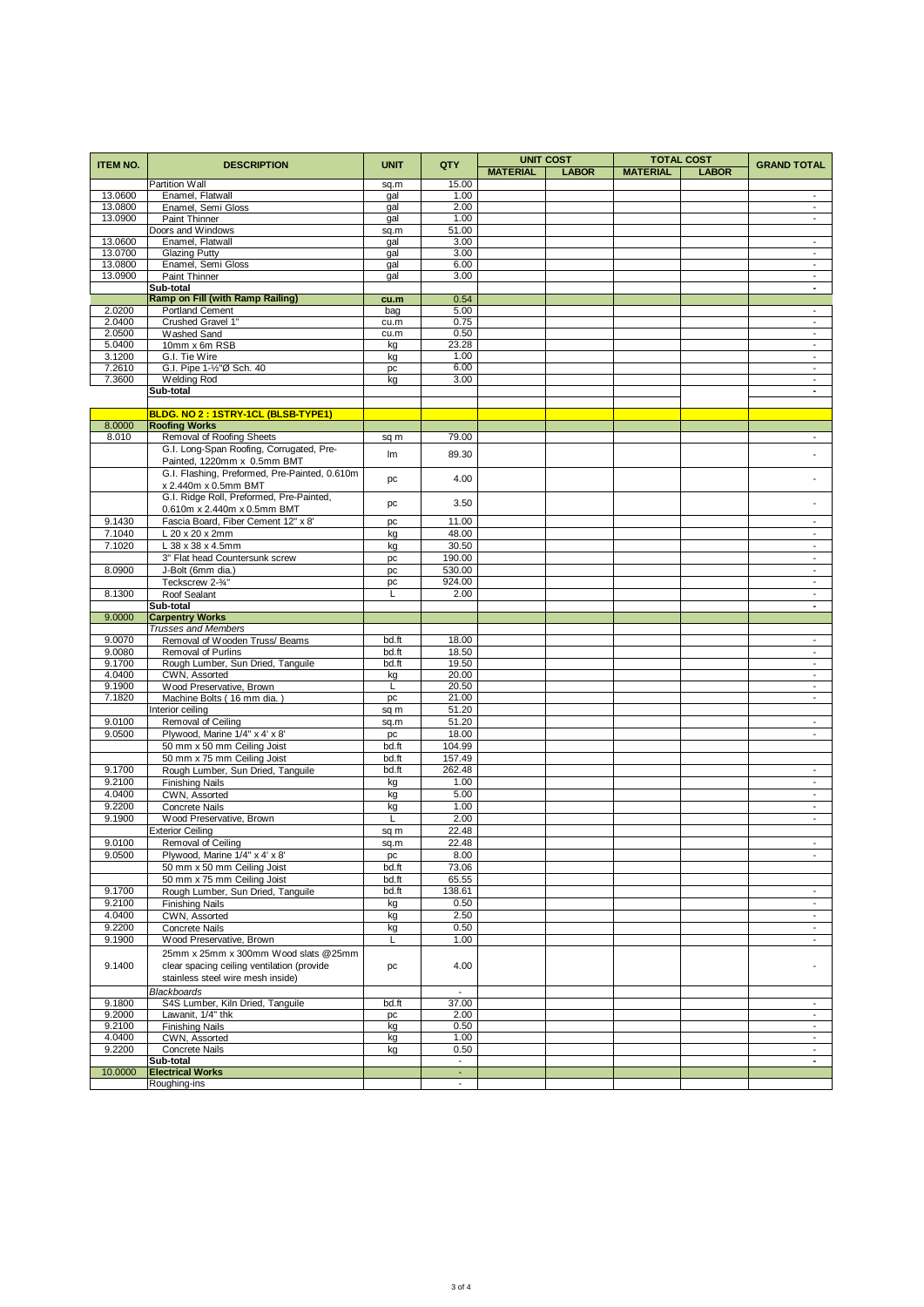| <b>ITEM NO.</b>    | <b>DESCRIPTION</b>                                      | <b>UNIT</b>    | QTY                      | <b>UNIT COST</b><br><b>TOTAL COST</b> |              |                 | <b>GRAND TOTAL</b> |                                                      |
|--------------------|---------------------------------------------------------|----------------|--------------------------|---------------------------------------|--------------|-----------------|--------------------|------------------------------------------------------|
|                    |                                                         |                |                          | <b>MATERIAL</b>                       | <b>LABOR</b> | <b>MATERIAL</b> | <b>LABOR</b>       |                                                      |
|                    | Partition Wall                                          | sq.m           | 15.00                    |                                       |              |                 |                    |                                                      |
| 13.0600<br>13.0800 | Enamel, Flatwall                                        | gal            | 1.00<br>2.00             |                                       |              |                 |                    | $\overline{\phantom{a}}$<br>$\overline{\phantom{a}}$ |
| 13.0900            | Enamel, Semi Gloss<br>Paint Thinner                     | gal<br>gal     | 1.00                     |                                       |              |                 |                    | $\overline{\phantom{a}}$                             |
|                    | Doors and Windows                                       | sq.m           | 51.00                    |                                       |              |                 |                    |                                                      |
| 13.0600            | Enamel, Flatwall                                        | gal            | 3.00                     |                                       |              |                 |                    | $\overline{\phantom{a}}$                             |
| 13.0700            | <b>Glazing Putty</b>                                    | gal            | 3.00                     |                                       |              |                 |                    | $\overline{\phantom{a}}$                             |
| 13.0800            | Enamel, Semi Gloss                                      | gal            | 6.00                     |                                       |              |                 |                    | $\overline{\phantom{a}}$                             |
| 13.0900            | Paint Thinner                                           | gal            | 3.00                     |                                       |              |                 |                    | $\overline{\phantom{a}}$                             |
|                    | Sub-total                                               |                |                          |                                       |              |                 |                    | ٠                                                    |
| 2.0200             | Ramp on Fill (with Ramp Railing)<br>Portland Cement     | cu.m<br>bag    | 0.54<br>5.00             |                                       |              |                 |                    | $\overline{\phantom{a}}$                             |
| 2.0400             | Crushed Gravel 1"                                       | cu.m           | 0.75                     |                                       |              |                 |                    | $\overline{\phantom{a}}$                             |
| 2.0500             | Washed Sand                                             | cu.m           | 0.50                     |                                       |              |                 |                    | $\overline{\phantom{a}}$                             |
| 5.0400             | 10mm x 6m RSB                                           | kg             | 23.28                    |                                       |              |                 |                    | $\overline{\phantom{a}}$                             |
| 3.1200             | G.I. Tie Wire                                           | kg             | 1.00                     |                                       |              |                 |                    | $\overline{\phantom{a}}$                             |
| 7.2610             | G.I. Pipe 1-1/2"Ø Sch. 40                               | pc             | 6.00                     |                                       |              |                 |                    | $\overline{\phantom{a}}$                             |
| 7.3600             | <b>Welding Rod</b>                                      | kg             | 3.00                     |                                       |              |                 |                    | $\overline{\phantom{a}}$                             |
|                    | Sub-total                                               |                |                          |                                       |              |                 |                    | $\blacksquare$                                       |
|                    | BLDG. NO 2: 1STRY-1CL (BLSB-TYPE1)                      |                |                          |                                       |              |                 |                    |                                                      |
| 8.0000             | <b>Roofing Works</b>                                    |                |                          |                                       |              |                 |                    |                                                      |
| 8.010              | Removal of Roofing Sheets                               | sq m           | 79.00                    |                                       |              |                 |                    | $\overline{\phantom{a}}$                             |
|                    | G.I. Long-Span Roofing, Corrugated, Pre-                | Im             | 89.30                    |                                       |              |                 |                    |                                                      |
|                    | Painted, 1220mm x 0.5mm BMT                             |                |                          |                                       |              |                 |                    |                                                      |
|                    | G.I. Flashing, Preformed, Pre-Painted, 0.610m           | pc             | 4.00                     |                                       |              |                 |                    |                                                      |
|                    | x 2.440m x 0.5mm BMT                                    |                |                          |                                       |              |                 |                    |                                                      |
|                    | G.I. Ridge Roll, Preformed, Pre-Painted,                | pc             | 3.50                     |                                       |              |                 |                    |                                                      |
|                    | 0.610m x 2.440m x 0.5mm BMT                             |                |                          |                                       |              |                 |                    |                                                      |
| 9.1430             | Fascia Board, Fiber Cement 12" x 8'                     | pc             | 11.00                    |                                       |              |                 |                    | $\overline{\phantom{a}}$<br>$\overline{\phantom{a}}$ |
| 7.1040<br>7.1020   | L 20 x 20 x 2mm<br>L 38 x 38 x 4.5mm                    | kg<br>kg       | 48.00<br>30.50           |                                       |              |                 |                    | $\overline{\phantom{a}}$                             |
|                    | 3" Flat head Countersunk screw                          | pc             | 190.00                   |                                       |              |                 |                    | $\overline{\phantom{a}}$                             |
| 8.0900             | J-Bolt (6mm dia.)                                       | pc             | 530.00                   |                                       |              |                 |                    | $\overline{\phantom{a}}$                             |
|                    | Teckscrew 2-3/4"                                        | pc             | 924.00                   |                                       |              |                 |                    | $\blacksquare$                                       |
| 8.1300             | Roof Sealant                                            | Г              | 2.00                     |                                       |              |                 |                    | $\overline{\phantom{a}}$                             |
|                    | Sub-total                                               |                |                          |                                       |              |                 |                    | ÷                                                    |
| 9.0000             | <b>Carpentry Works</b>                                  |                |                          |                                       |              |                 |                    |                                                      |
|                    | <b>Trusses and Members</b>                              |                |                          |                                       |              |                 |                    |                                                      |
| 9.0070             | Removal of Wooden Truss/ Beams                          | bd.ft          | 18.00                    |                                       |              |                 |                    | $\overline{\phantom{a}}$                             |
| 9.0080<br>9.1700   | Removal of Purlins<br>Rough Lumber, Sun Dried, Tanguile | bd.ft<br>bd.ft | 18.50<br>19.50           |                                       |              |                 |                    | $\overline{\phantom{a}}$<br>$\overline{\phantom{a}}$ |
| 4.0400             | CWN, Assorted                                           | kg             | 20.00                    |                                       |              |                 |                    | $\overline{\phantom{a}}$                             |
| 9.1900             | Wood Preservative, Brown                                | L              | 20.50                    |                                       |              |                 |                    | $\overline{\phantom{a}}$                             |
| 7.1820             | Machine Bolts (16 mm dia.)                              | pc             | 21.00                    |                                       |              |                 |                    | $\overline{\phantom{a}}$                             |
|                    | Interior ceiling                                        | sq m           | 51.20                    |                                       |              |                 |                    |                                                      |
| 9.0100             | Removal of Ceiling                                      | sq.m           | 51.20                    |                                       |              |                 |                    | $\overline{\phantom{a}}$                             |
| 9.0500             | Plywood, Marine 1/4" x 4' x 8'                          | pc             | 18.00                    |                                       |              |                 |                    | $\overline{\phantom{a}}$                             |
|                    | 50 mm x 50 mm Ceiling Joist                             | bd.ft          | 104.99                   |                                       |              |                 |                    |                                                      |
|                    | 50 mm x 75 mm Ceiling Joist                             | bd.ft          | 157.49                   |                                       |              |                 |                    |                                                      |
| 9.1700             | Rough Lumber, Sun Dried, Tanguile                       | bd.ft          | 262.48                   |                                       |              |                 |                    | $\overline{\phantom{a}}$                             |
| 9.2100             | <b>Finishing Nails</b>                                  | kg             | 1.00                     |                                       |              |                 |                    | $\overline{\phantom{a}}$<br>$\overline{\phantom{a}}$ |
| 4.0400<br>9.2200   | CWN, Assorted<br>Concrete Nails                         | kg<br>kg       | 5.00<br>1.00             |                                       |              |                 |                    | $\overline{\phantom{a}}$                             |
| 9.1900             | Wood Preservative, Brown                                | L              | 2.00                     |                                       |              |                 |                    | $\overline{\phantom{a}}$                             |
|                    | <b>Exterior Ceiling</b>                                 | sq m           | 22.48                    |                                       |              |                 |                    |                                                      |
| 9.0100             | Removal of Ceiling                                      | sq.m           | 22.48                    |                                       |              |                 |                    | $\blacksquare$                                       |
| 9.0500             | Plywood, Marine 1/4" x 4' x 8'                          | pc             | 8.00                     |                                       |              |                 |                    | $\overline{\phantom{a}}$                             |
|                    | 50 mm x 50 mm Ceiling Joist                             | bd.ft          | 73.06                    |                                       |              |                 |                    |                                                      |
|                    | 50 mm x 75 mm Ceiling Joist                             | bd.ft          | 65.55                    |                                       |              |                 |                    |                                                      |
| 9.1700             | Rough Lumber, Sun Dried, Tanguile                       | bd.ft          | 138.61                   |                                       |              |                 |                    | $\overline{\phantom{0}}$                             |
| 9.2100             | <b>Finishing Nails</b>                                  | kg             | 0.50                     |                                       |              |                 |                    | $\overline{\phantom{a}}$                             |
| 4.0400             | CWN, Assorted                                           | kg             | 2.50                     |                                       |              |                 |                    | $\overline{\phantom{a}}$                             |
| 9.2200             | Concrete Nails                                          | kg             | 0.50                     |                                       |              |                 |                    | $\overline{\phantom{a}}$                             |
| 9.1900             | Wood Preservative, Brown                                | Г              | 1.00                     |                                       |              |                 |                    | $\overline{\phantom{a}}$                             |
|                    | 25mm x 25mm x 300mm Wood slats @25mm                    |                |                          |                                       |              |                 |                    |                                                      |
| 9.1400             | clear spacing ceiling ventilation (provide              | pc             | 4.00                     |                                       |              |                 |                    |                                                      |
|                    | stainless steel wire mesh inside)                       |                |                          |                                       |              |                 |                    |                                                      |
|                    | <b>Blackboards</b>                                      |                | $\overline{\phantom{a}}$ |                                       |              |                 |                    |                                                      |
| 9.1800<br>9.2000   | S4S Lumber, Kiln Dried, Tanguile<br>Lawanit, 1/4" thk   | bd.ft          | 37.00<br>2.00            |                                       |              |                 |                    | $\overline{\phantom{a}}$<br>$\overline{\phantom{a}}$ |
| 9.2100             | <b>Finishing Nails</b>                                  | pc<br>kg       | 0.50                     |                                       |              |                 |                    | $\overline{\phantom{a}}$                             |
| 4.0400             | CWN, Assorted                                           | kg             | 1.00                     |                                       |              |                 |                    | $\overline{\phantom{a}}$                             |
| 9.2200             | Concrete Nails                                          | kg             | 0.50                     |                                       |              |                 |                    | $\blacksquare$                                       |
|                    | Sub-total                                               |                | $\blacksquare$           |                                       |              |                 |                    | $\blacksquare$                                       |
| 10.0000            | <b>Electrical Works</b>                                 |                | ÷.                       |                                       |              |                 |                    |                                                      |
|                    | Roughing-ins                                            |                | $\overline{\phantom{a}}$ |                                       |              |                 |                    |                                                      |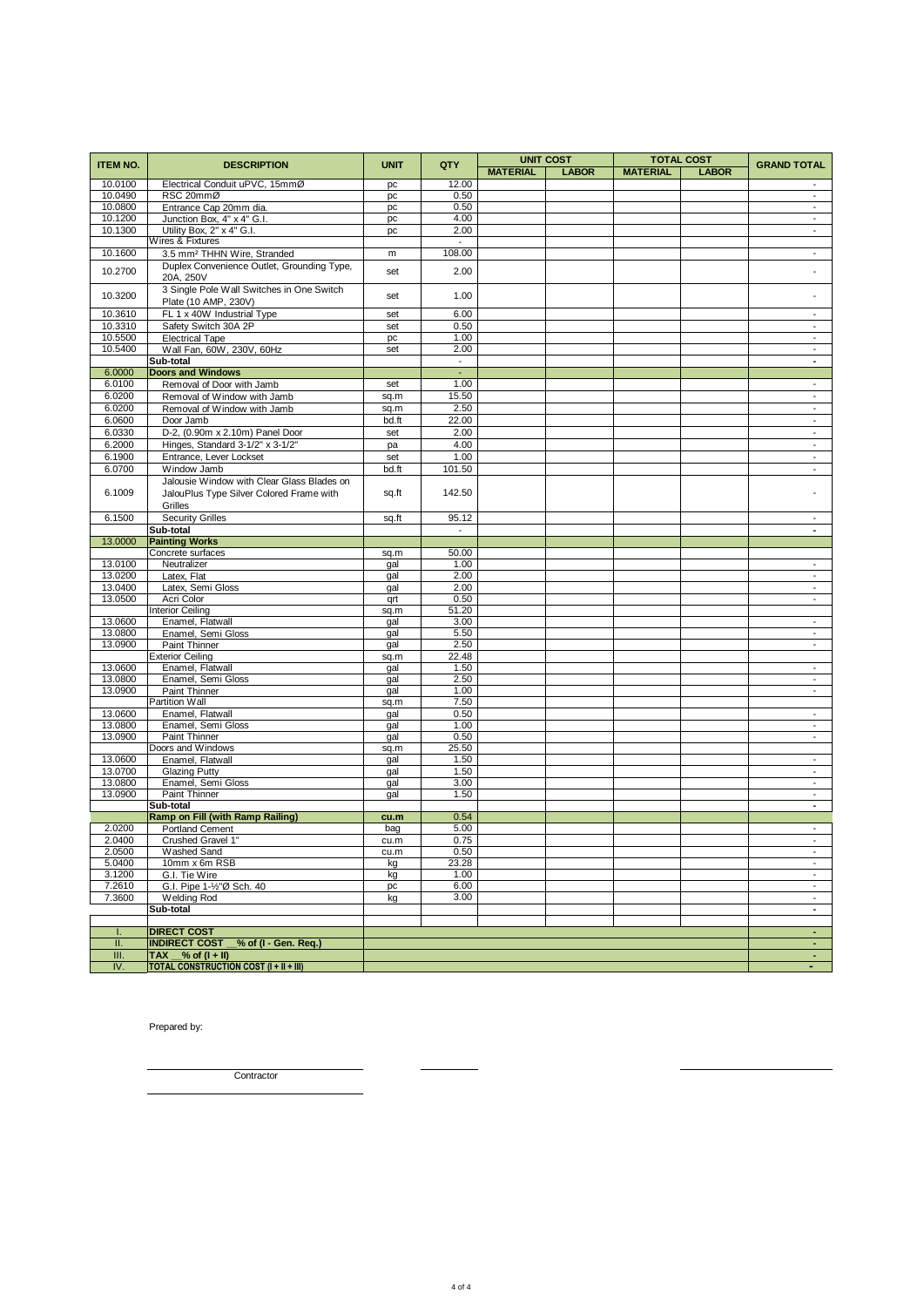| <b>ITEM NO.</b>  | <b>DESCRIPTION</b>                             | <b>UNIT</b> | QTY                      | <b>UNIT COST</b><br><b>TOTAL COST</b> |              |                 | <b>GRAND TOTAL</b> |                                                      |
|------------------|------------------------------------------------|-------------|--------------------------|---------------------------------------|--------------|-----------------|--------------------|------------------------------------------------------|
|                  |                                                |             |                          | <b>MATERIAL</b>                       | <b>LABOR</b> | <b>MATERIAL</b> | <b>LABOR</b>       |                                                      |
| 10.0100          | Electrical Conduit uPVC, 15mmØ                 | pc          | 12.00                    |                                       |              |                 |                    |                                                      |
| 10.0490          | RSC 20mmØ                                      | pc          | 0.50                     |                                       |              |                 |                    | $\overline{\phantom{a}}$                             |
| 10.0800          | Entrance Cap 20mm dia.                         | pc          | 0.50                     |                                       |              |                 |                    | $\overline{\phantom{a}}$                             |
| 10.1200          | Junction Box, 4" x 4" G.I.                     | pc          | 4.00                     |                                       |              |                 |                    | $\overline{\phantom{a}}$                             |
| 10.1300          | Utility Box, 2" x 4" G.I.                      | pc          | 2.00                     |                                       |              |                 |                    | $\overline{\phantom{a}}$                             |
|                  | Wires & Fixtures                               |             | $\overline{\phantom{a}}$ |                                       |              |                 |                    |                                                      |
| 10.1600          | 3.5 mm <sup>2</sup> THHN Wire, Stranded        | m           | 108.00                   |                                       |              |                 |                    | $\overline{a}$                                       |
| 10.2700          | Duplex Convenience Outlet, Grounding Type,     | set         | 2.00                     |                                       |              |                 |                    |                                                      |
|                  | 20A, 250V                                      |             |                          |                                       |              |                 |                    |                                                      |
| 10.3200          | 3 Single Pole Wall Switches in One Switch      | set         | 1.00                     |                                       |              |                 |                    |                                                      |
| 10.3610          | Plate (10 AMP, 230V)                           |             | 6.00                     |                                       |              |                 |                    | $\overline{\phantom{a}}$                             |
| 10.3310          | FL 1 x 40W Industrial Type                     | set         | 0.50                     |                                       |              |                 |                    |                                                      |
| 10.5500          | Safety Switch 30A 2P<br><b>Electrical Tape</b> | set         | 1.00                     |                                       |              |                 |                    | $\overline{\phantom{a}}$<br>$\overline{\phantom{a}}$ |
| 10.5400          | Wall Fan, 60W, 230V, 60Hz                      | pc<br>set   | 2.00                     |                                       |              |                 |                    | $\overline{\phantom{a}}$                             |
|                  | Sub-total                                      |             | $\overline{\phantom{a}}$ |                                       |              |                 |                    | ÷,                                                   |
| 6.0000           | <b>Doors and Windows</b>                       |             | $\blacksquare$           |                                       |              |                 |                    |                                                      |
| 6.0100           | Removal of Door with Jamb                      | set         | 1.00                     |                                       |              |                 |                    | $\overline{\phantom{a}}$                             |
| 6.0200           | Removal of Window with Jamb                    | sq.m        | 15.50                    |                                       |              |                 |                    | $\blacksquare$                                       |
| 6.0200           | Removal of Window with Jamb                    | sq.m        | 2.50                     |                                       |              |                 |                    | $\overline{\phantom{a}}$                             |
| 6.0600           | Door Jamb                                      | bd.ft       | 22.00                    |                                       |              |                 |                    | $\overline{\phantom{a}}$                             |
| 6.0330           | D-2, (0.90m x 2.10m) Panel Door                | set         | 2.00                     |                                       |              |                 |                    | $\overline{\phantom{a}}$                             |
| 6.2000           | Hinges, Standard 3-1/2" x 3-1/2"               | pa          | 4.00                     |                                       |              |                 |                    | $\overline{a}$                                       |
| 6.1900           | Entrance, Lever Lockset                        | set         | 1.00                     |                                       |              |                 |                    | $\blacksquare$                                       |
| 6.0700           | Window Jamb                                    | bd.ft       | 101.50                   |                                       |              |                 |                    | $\overline{\phantom{a}}$                             |
|                  | Jalousie Window with Clear Glass Blades on     |             |                          |                                       |              |                 |                    |                                                      |
| 6.1009           | JalouPlus Type Silver Colored Frame with       | sq.ft       | 142.50                   |                                       |              |                 |                    |                                                      |
|                  | Grilles                                        |             |                          |                                       |              |                 |                    |                                                      |
| 6.1500           | <b>Security Grilles</b>                        | sq.ft       | 95.12                    |                                       |              |                 |                    | $\overline{\phantom{a}}$                             |
|                  | Sub-total                                      |             | $\overline{\phantom{a}}$ |                                       |              |                 |                    | $\blacksquare$                                       |
| 13.0000          | <b>Painting Works</b>                          |             |                          |                                       |              |                 |                    |                                                      |
|                  | Concrete surfaces                              | sq.m        | 50.00                    |                                       |              |                 |                    |                                                      |
| 13.0100          | Neutralizer                                    | gal         | 1.00                     |                                       |              |                 |                    | $\blacksquare$                                       |
| 13.0200          | Latex, Flat                                    | gal         | 2.00                     |                                       |              |                 |                    | $\overline{\phantom{a}}$                             |
| 13.0400          | Latex, Semi Gloss                              | gal         | 2.00                     |                                       |              |                 |                    | $\sim$                                               |
| 13.0500          | Acri Color                                     | qrt         | 0.50                     |                                       |              |                 |                    | $\overline{\phantom{a}}$                             |
|                  | <b>Interior Ceiling</b>                        | sq.m        | 51.20                    |                                       |              |                 |                    |                                                      |
| 13.0600          | Enamel, Flatwall                               | gal         | 3.00                     |                                       |              |                 |                    | $\overline{\phantom{0}}$                             |
| 13.0800          | Enamel, Semi Gloss                             | gal         | 5.50                     |                                       |              |                 |                    | $\overline{\phantom{a}}$                             |
| 13.0900          | Paint Thinner                                  | gal         | 2.50                     |                                       |              |                 |                    | $\overline{\phantom{a}}$                             |
| 13.0600          | <b>Exterior Ceiling</b><br>Enamel, Flatwall    | sq.m        | 22.48<br>1.50            |                                       |              |                 |                    | $\overline{\phantom{a}}$                             |
| 13.0800          | Enamel, Semi Gloss                             | gal<br>gal  | 2.50                     |                                       |              |                 |                    | $\overline{\phantom{a}}$                             |
| 13.0900          | Paint Thinner                                  | gal         | 1.00                     |                                       |              |                 |                    | $\overline{\phantom{a}}$                             |
|                  | Partition Wall                                 | sq.m        | 7.50                     |                                       |              |                 |                    |                                                      |
| 13.0600          | Enamel, Flatwall                               | gal         | 0.50                     |                                       |              |                 |                    | $\overline{\phantom{a}}$                             |
| 13.0800          | Enamel, Semi Gloss                             | gal         | 1.00                     |                                       |              |                 |                    | $\overline{\phantom{a}}$                             |
| 13.0900          | Paint Thinner                                  | gal         | 0.50                     |                                       |              |                 |                    | $\overline{\phantom{a}}$                             |
|                  | Doors and Windows                              | sq.m        | 25.50                    |                                       |              |                 |                    |                                                      |
| 13.0600          | Enamel, Flatwall                               | gal         | 1.50                     |                                       |              |                 |                    | $\overline{\phantom{a}}$                             |
| 13.0700          | <b>Glazing Putty</b>                           | gal         | 1.50                     |                                       |              |                 |                    | $\overline{\phantom{a}}$                             |
| 13.0800          | Enamel, Semi Gloss                             | gal         | 3.00                     |                                       |              |                 |                    | $\overline{\phantom{a}}$                             |
| 13.0900          | Paint Thinner                                  | gal         | 1.50                     |                                       |              |                 |                    | $\overline{\phantom{a}}$                             |
|                  | Sub-total                                      |             |                          |                                       |              |                 |                    | $\blacksquare$                                       |
|                  | Ramp on Fill (with Ramp Railing)               | cu.m        | 0.54                     |                                       |              |                 |                    |                                                      |
| 2.0200<br>2.0400 | <b>Portland Cement</b><br>Crushed Gravel 1"    | bag         | 5.00<br>0.75             |                                       |              |                 |                    | $\overline{\phantom{a}}$<br>$\overline{a}$           |
| 2.0500           |                                                | cu.m        | 0.50                     |                                       |              |                 |                    | $\overline{\phantom{a}}$                             |
| 5.0400           | Washed Sand<br>10mm x 6m RSB                   | cu.m<br>kg  | 23.28                    |                                       |              |                 |                    | $\overline{\phantom{a}}$                             |
| 3.1200           | G.I. Tie Wire                                  | kg          | 1.00                     |                                       |              |                 |                    | $\overline{\phantom{a}}$                             |
| 7.2610           | G.I. Pipe 1-1/2"Ø Sch. 40                      | pc          | 6.00                     |                                       |              |                 |                    | $\overline{\phantom{a}}$                             |
| 7.3600           | <b>Welding Rod</b>                             | kg          | 3.00                     |                                       |              |                 |                    | $\overline{\phantom{a}}$                             |
|                  | Sub-total                                      |             |                          |                                       |              |                 |                    | $\sim$                                               |
|                  |                                                |             |                          |                                       |              |                 |                    |                                                      |
| ı.               | <b>DIRECT COST</b>                             |             |                          |                                       |              |                 |                    | $\sim$                                               |
| П.               | INDIRECT COST 6% of (I - Gen. Req.)            |             |                          |                                       |              |                 |                    | $\sim$                                               |
| III.             | $\overline{TAX}$ % of $(I + II)$               |             |                          |                                       |              |                 |                    | $\sim$                                               |
| IV.              | <b>TOTAL CONSTRUCTION COST (I + II + III)</b>  |             |                          |                                       |              |                 |                    | $\blacksquare$                                       |

Prepared by:

**Contractor** 

 $\overline{\phantom{a}}$